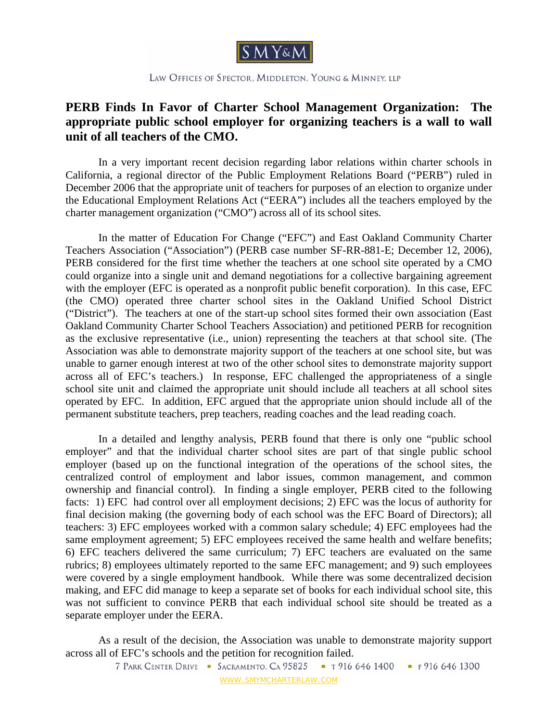

LAW OFFICES OF SPECTOR, MIDDLETON, YOUNG & MINNEY, LLP

## **PERB Finds In Favor of Charter School Management Organization: The appropriate public school employer for organizing teachers is a wall to wall unit of all teachers of the CMO.**

 In a very important recent decision regarding labor relations within charter schools in California, a regional director of the Public Employment Relations Board ("PERB") ruled in December 2006 that the appropriate unit of teachers for purposes of an election to organize under the Educational Employment Relations Act ("EERA") includes all the teachers employed by the charter management organization ("CMO") across all of its school sites.

 In the matter of Education For Change ("EFC") and East Oakland Community Charter Teachers Association ("Association") (PERB case number SF-RR-881-E; December 12, 2006), PERB considered for the first time whether the teachers at one school site operated by a CMO could organize into a single unit and demand negotiations for a collective bargaining agreement with the employer (EFC is operated as a nonprofit public benefit corporation). In this case, EFC (the CMO) operated three charter school sites in the Oakland Unified School District ("District"). The teachers at one of the start-up school sites formed their own association (East Oakland Community Charter School Teachers Association) and petitioned PERB for recognition as the exclusive representative (i.e., union) representing the teachers at that school site. (The Association was able to demonstrate majority support of the teachers at one school site, but was unable to garner enough interest at two of the other school sites to demonstrate majority support across all of EFC's teachers.) In response, EFC challenged the appropriateness of a single school site unit and claimed the appropriate unit should include all teachers at all school sites operated by EFC. In addition, EFC argued that the appropriate union should include all of the permanent substitute teachers, prep teachers, reading coaches and the lead reading coach.

 In a detailed and lengthy analysis, PERB found that there is only one "public school employer" and that the individual charter school sites are part of that single public school employer (based up on the functional integration of the operations of the school sites, the centralized control of employment and labor issues, common management, and common ownership and financial control). In finding a single employer, PERB cited to the following facts: 1) EFC had control over all employment decisions; 2) EFC was the locus of authority for final decision making (the governing body of each school was the EFC Board of Directors); all teachers: 3) EFC employees worked with a common salary schedule; 4) EFC employees had the same employment agreement; 5) EFC employees received the same health and welfare benefits; 6) EFC teachers delivered the same curriculum; 7) EFC teachers are evaluated on the same rubrics; 8) employees ultimately reported to the same EFC management; and 9) such employees were covered by a single employment handbook. While there was some decentralized decision making, and EFC did manage to keep a separate set of books for each individual school site, this was not sufficient to convince PERB that each individual school site should be treated as a separate employer under the EERA.

 As a result of the decision, the Association was unable to demonstrate majority support across all of EFC's schools and the petition for recognition failed.